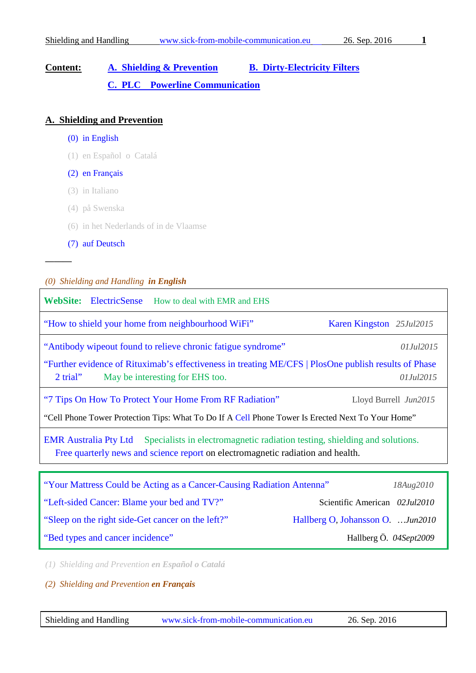# **Content: [A. Shielding & Prevention](#page-0-0) [B. Dirty-Electricity Filters](#page-2-0) [C. PLC Powerline Communication](#page-3-0)**

### <span id="page-0-0"></span>**A. Shielding and Prevention**

- (0) in English
- (1) en Español o Catalá

#### (2) en Français

- (3) in Italiano
- (4) på Swenska
- (6) in het Nederlands of in de Vlaamse
- [\(7\) auf Deutsch](#page-1-0)

**––––––**

#### *(0) Shielding and Handling in English*

| <b>WebSite:</b> ElectricSense How to deal with EMR and EHS                                                                                                                                 |                                   |  |  |
|--------------------------------------------------------------------------------------------------------------------------------------------------------------------------------------------|-----------------------------------|--|--|
| "How to shield your home from neighbourhood WiFi"                                                                                                                                          | Karen Kingston 25Jul2015          |  |  |
| "Antibody wipeout found to relieve chronic fatigue syndrome"                                                                                                                               | 01Jul2015                         |  |  |
| "Further evidence of Rituximab's effectiveness in treating ME/CFS   PlosOne publish results of Phase<br>May be interesting for EHS too.<br>2 trial"<br>01Jul2015                           |                                   |  |  |
| "7 Tips On How To Protect Your Home From RF Radiation"                                                                                                                                     | Lloyd Burrell Jun2015             |  |  |
| "Cell Phone Tower Protection Tips: What To Do If A Cell Phone Tower Is Erected Next To Your Home"                                                                                          |                                   |  |  |
| <b>EMR</b> Australia Pty Ltd Specialists in electromagnetic radiation testing, shielding and solutions.<br>Free quarterly news and science report on electromagnetic radiation and health. |                                   |  |  |
|                                                                                                                                                                                            |                                   |  |  |
| "Your Mattress Could be Acting as a Cancer-Causing Radiation Antenna"                                                                                                                      | 18Aug2010                         |  |  |
| "Left-sided Cancer: Blame your bed and TV?"                                                                                                                                                | Scientific American 02Jul2010     |  |  |
| "Sleep on the right side-Get cancer on the left?"                                                                                                                                          | Hallberg O, Johansson O.  Jun2010 |  |  |

["Bed types and cancer incidence"](http://sgll.nu/MedPub/Ref35PATPHY645b.pdf) Hallberg Ö. *04Sept2009*

*(1) Shielding and Prevention en Español o Catalá*

*(2) Shielding and Prevention en Français*

Shielding and Handling [www.sick-from-mobile-communication.eu](http://www.sick-from-mobile-communication.eu/) 26. Sep. 2016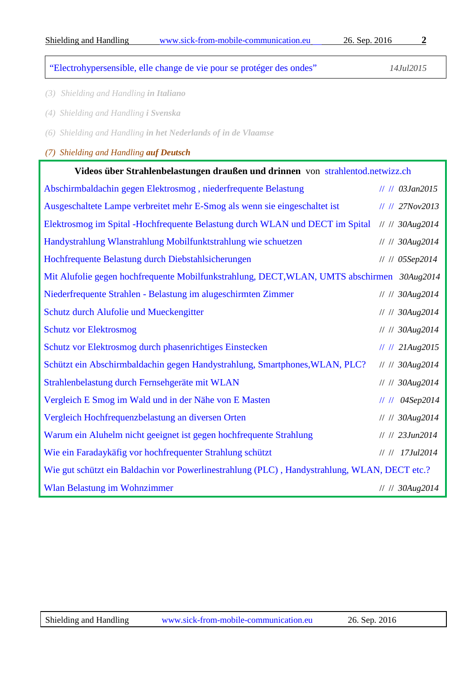# ["Electrohypersensible, elle change de vie pour se protéger des ondes"](http://www.topsante.com/medecine/medecine-divers/environnement-et-sante/electrohypersensible-elle-change-de-vie-pour-se-proteger-des-ondes-251767) *14Jul2015*

- *(3) Shielding and Handling in Italiano*
- *(4) Shielding and Handling i Svenska*
- *(6) Shielding and Handling in het Nederlands of in de Vlaamse*

## <span id="page-1-0"></span>*(7) Shielding and Handling auf Deutsch*

| Videos über Strahlenbelastungen draußen und drinnen von strahlentod.netwizz.ch               |                            |  |
|----------------------------------------------------------------------------------------------|----------------------------|--|
| Abschirmbaldachin gegen Elektrosmog, niederfrequente Belastung                               | // // 03Jan2015            |  |
| Ausgeschaltete Lampe verbreitet mehr E-Smog als wenn sie eingeschaltet ist                   | // // 27Nov2013            |  |
| Elektrosmog im Spital -Hochfrequente Belastung durch WLAN und DECT im Spital                 | // // 30Aug2014            |  |
| Handystrahlung Wlanstrahlung Mobilfunktstrahlung wie schuetzen                               | // // 30Aug2014            |  |
| Hochfrequente Belastung durch Diebstahlsicherungen                                           | // // 05Sep2014            |  |
| Mit Alufolie gegen hochfrequente Mobilfunkstrahlung, DECT, WLAN, UMTS abschirmen 30Aug2014   |                            |  |
| Niederfrequente Strahlen - Belastung im alugeschirmten Zimmer                                | // // 30Aug2014            |  |
| Schutz durch Alufolie und Mueckengitter                                                      | // // 30Aug2014            |  |
| <b>Schutz vor Elektrosmog</b>                                                                | // // 30Aug2014            |  |
| Schutz vor Elektrosmog durch phasenrichtiges Einstecken                                      | $      21 \text{Aug} 2015$ |  |
| Schützt ein Abschirmbaldachin gegen Handystrahlung, Smartphones, WLAN, PLC?                  | // // 30Aug2014            |  |
| Strahlenbelastung durch Fernsehgeräte mit WLAN                                               | // // 30Aug2014            |  |
| Vergleich E Smog im Wald und in der Nähe von E Masten                                        | $      04$ Sep2014         |  |
| Vergleich Hochfrequenzbelastung an diversen Orten                                            | // // 30Aug2014            |  |
| Warum ein Aluhelm nicht geeignet ist gegen hochfrequente Strahlung                           | // // 23Jun2014            |  |
| Wie ein Faradaykäfig vor hochfrequenter Strahlung schützt                                    | // // 17Jul2014            |  |
| Wie gut schützt ein Baldachin vor Powerlinestrahlung (PLC), Handystrahlung, WLAN, DECT etc.? |                            |  |
| <b>Wlan Belastung im Wohnzimmer</b>                                                          | // // 30Aug2014            |  |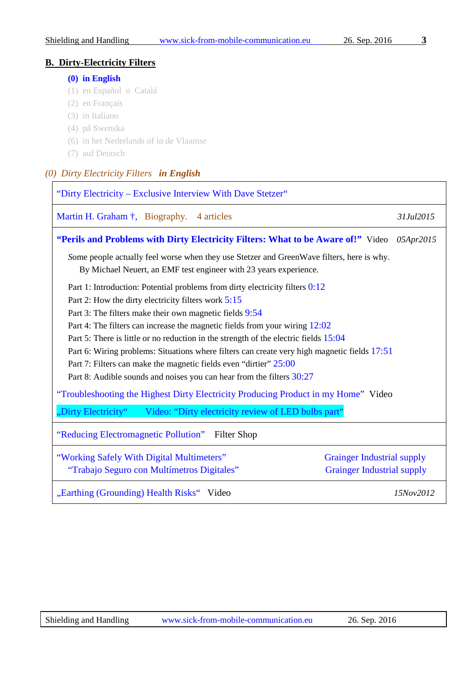#### **B. Dirty-Electricity Filters**

#### <span id="page-2-0"></span>**[\(0\) in English](#page-2-1)**

- (1) en Español o Catalá
- (2) en Français
- (3) in Italiano
- (4) på Swenska
- (6) in het Nederlands of in de Vlaamse
- (7) auf Deutsch

# <span id="page-2-1"></span>*(0) Dirty Electricity Filters in English*

| "Dirty Electricity – Exclusive Interview With Dave Stetzer"                                                                                                    |                                   |  |
|----------------------------------------------------------------------------------------------------------------------------------------------------------------|-----------------------------------|--|
| Martin H. Graham †, Biography. 4 articles                                                                                                                      | 31Jul2015                         |  |
| "Perils and Problems with Dirty Electricity Filters: What to be Aware of!" Video 05Apr2015                                                                     |                                   |  |
| Some people actually feel worse when they use Stetzer and GreenWave filters, here is why.<br>By Michael Neuert, an EMF test engineer with 23 years experience. |                                   |  |
| Part 1: Introduction: Potential problems from dirty electricity filters 0:12                                                                                   |                                   |  |
| Part 2: How the dirty electricity filters work 5:15                                                                                                            |                                   |  |
| Part 3: The filters make their own magnetic fields 9:54                                                                                                        |                                   |  |
| Part 4: The filters can increase the magnetic fields from your wiring 12:02                                                                                    |                                   |  |
| Part 5: There is little or no reduction in the strength of the electric fields 15:04                                                                           |                                   |  |
| Part 6: Wiring problems: Situations where filters can create very high magnetic fields 17:51                                                                   |                                   |  |
| Part 7: Filters can make the magnetic fields even "dirtier" 25:00                                                                                              |                                   |  |
| Part 8: Audible sounds and noises you can hear from the filters $30:27$                                                                                        |                                   |  |
| "Troubleshooting the Highest Dirty Electricity Producing Product in my Home" Video                                                                             |                                   |  |
| "Dirty Electricity" Video: "Dirty electricity review of LED bulbs part"                                                                                        |                                   |  |
| "Reducing Electromagnetic Pollution" Filter Shop                                                                                                               |                                   |  |
| "Working Safely With Digital Multimeters"                                                                                                                      | <b>Grainger Industrial supply</b> |  |
| "Trabajo Seguro con Multímetros Digitales"                                                                                                                     | <b>Grainger Industrial supply</b> |  |
| "Earthing (Grounding) Health Risks" Video                                                                                                                      | 15Nov2012                         |  |